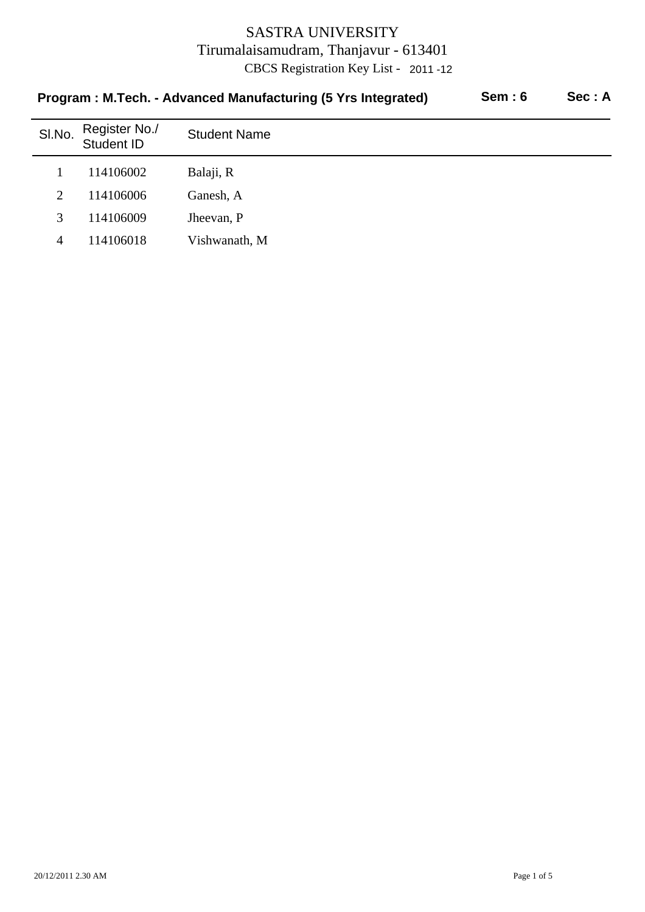| Program: M.Tecn. - Advanced Manufacturing (5 Trs integrated)<br><b>JEIII</b> .U<br>950 . A |                             |                     |  |  |
|--------------------------------------------------------------------------------------------|-----------------------------|---------------------|--|--|
| SI.No.                                                                                     | Register No./<br>Student ID | <b>Student Name</b> |  |  |
|                                                                                            | 114106002                   | Balaji, R           |  |  |
| 2                                                                                          | 114106006                   | Ganesh, A           |  |  |
| 3                                                                                          | 114106009                   | Jheevan, P          |  |  |
| 4                                                                                          | 114106018                   | Vishwanath, M       |  |  |

# **Program : M.Tech. - Advanced Manufacturing (5 Yrs Integrated) Sem : 6 Sec : A**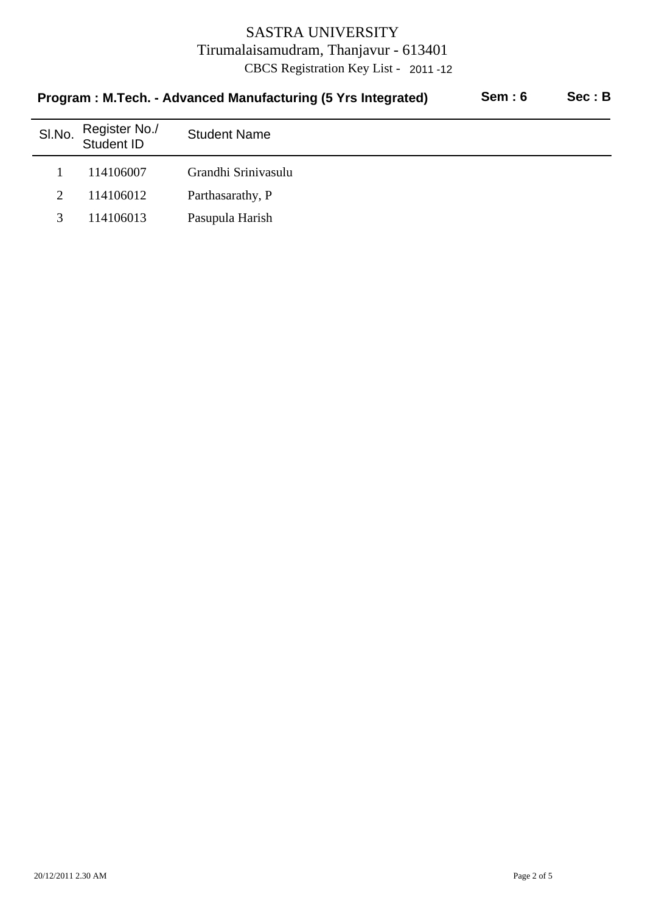|                       | Program: M.Tech. - Advanced Manufacturing (5 Yrs Integrated) | Sem:6               | Sec : B |  |
|-----------------------|--------------------------------------------------------------|---------------------|---------|--|
| SI.No.                | Register No./<br>Student ID                                  | <b>Student Name</b> |         |  |
|                       | 114106007                                                    | Grandhi Srinivasulu |         |  |
| $\mathcal{D}_{\cdot}$ | 114106012                                                    | Parthasarathy, P    |         |  |
|                       | 114106013                                                    | Pasupula Harish     |         |  |
|                       |                                                              |                     |         |  |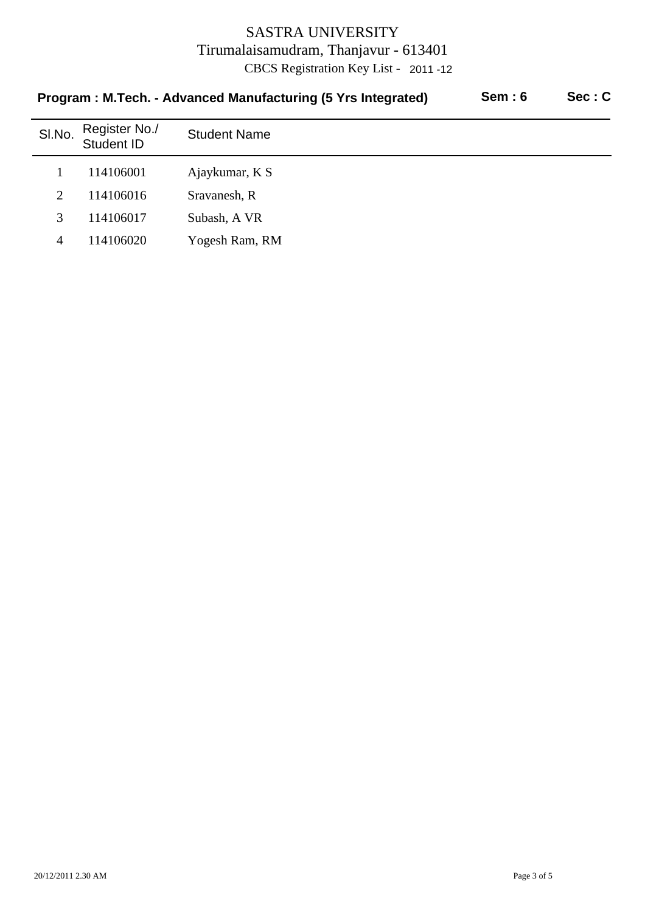| Sem: 6<br>Program: M.Tech. - Advanced Manufacturing (5 Yrs Integrated) |                                    |                     |  | Sec: C |
|------------------------------------------------------------------------|------------------------------------|---------------------|--|--------|
| SI.No.                                                                 | Register No./<br><b>Student ID</b> | <b>Student Name</b> |  |        |
|                                                                        | 114106001                          | Ajaykumar, K S      |  |        |
| $\overline{2}$                                                         | 114106016                          | Sravanesh, R        |  |        |
| 3                                                                      | 114106017                          | Subash, A VR        |  |        |
| 4                                                                      | 114106020                          | Yogesh Ram, RM      |  |        |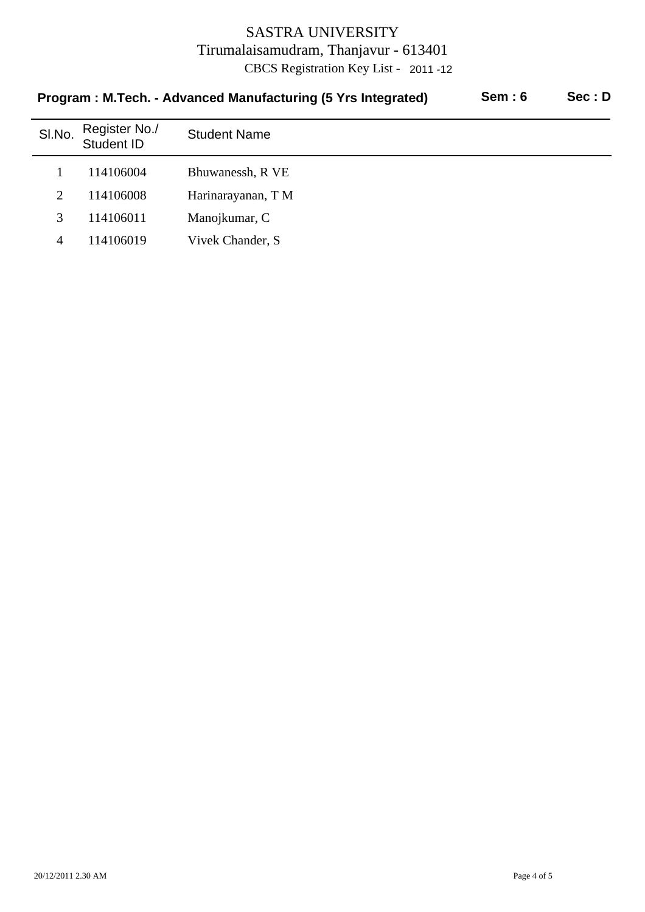| Program: M.Tech. - Advanced Manufacturing (5 Yrs Integrated) | Sem: 6                      | Sec: D              |  |  |
|--------------------------------------------------------------|-----------------------------|---------------------|--|--|
| SI.No.                                                       | Register No./<br>Student ID | <b>Student Name</b> |  |  |
|                                                              | 114106004                   | Bhuwanessh, R VE    |  |  |
| 2                                                            | 114106008                   | Harinarayanan, T M  |  |  |
| 3                                                            | 114106011                   | Manojkumar, C       |  |  |
| 4                                                            | 114106019                   | Vivek Chander, S.   |  |  |